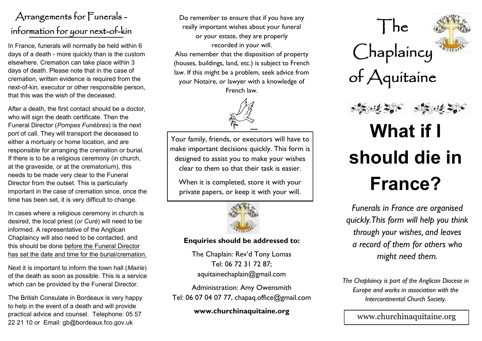## Arrangements for Funerals information for your next-of-kin

In France, funerals will normally be held within 6 days of a death - more quickly than is the custom elsewhere. Cremation can take place within 3 days of death. Please note that in the case of cremation, written evidence is required from the next-of-kin, executor or other responsible person, that this was the wish of the deceased.

After a death, the first contact should be a doctor, who will sign the death certificate. Then the Funeral Director (*Pompes Funèbres*) is the next port of call. They will transport the deceased to either a mortuary or home location, and are responsible for arranging the cremation or burial. If there is to be a religious ceremony (in church, at the graveside, or at the crematorium), this needs to be made very clear to the Funeral Director from the outset. This is particularly important in the case of cremation since, once the time has been set, it is very difficult to change.

In cases where a religious ceremony in church is desired, the local priest (*or Curé*) will need to be informed. A representative of the Anglican Chaplaincy will also need to be contacted, and this should be done before the Funeral Director has set the date and time for the burial/cremation.

Next it is important to inform the town hall (*Mairie*) of the death as soon as possible. This is a service which can be provided by the Funeral Director.

The British Consulate in Bordeaux is very happy to help in the event of a death and will provide practical advice and counsel. Telephone: 05 57 22 21 10 or Email: gb@bordeaux.fco.gov.uk

Do remember to ensure that if you have any really important wishes about your funeral or your estate, they are properly recorded in your will. Also remember that the disposition of property (houses, buildings, land, etc.) is subject to French law. If this might be a problem, seek advice from your Notaire, or lawyer with a knowledge of French law.



Your family, friends, or executors will have to make important decisions quickly. This form is designed to assist you to make your wishes clear to them so that their task is easier.

When it is completed, store it with your private papers, or keep it with your will.



## **Enquiries should be addressed to:**

The Chaplain: Rev'd Tony Lomas Tel: 06 72 31 72 87; aquitainechaplain@gmail.com

Administration: Amy Owensmith Tel: 06 07 04 07 77, chapaq.office@gmail.com

**www.churchinaquitaine.org**



*Funerals in France are organised quickly. This form will help you think through your wishes, and leaves a record of them for others who might need them.*

*The Chaplaincy is part of the Anglican Diocese in Europe and works in association with the Intercontinental Church Society.*

www.churchinaquitaine.org